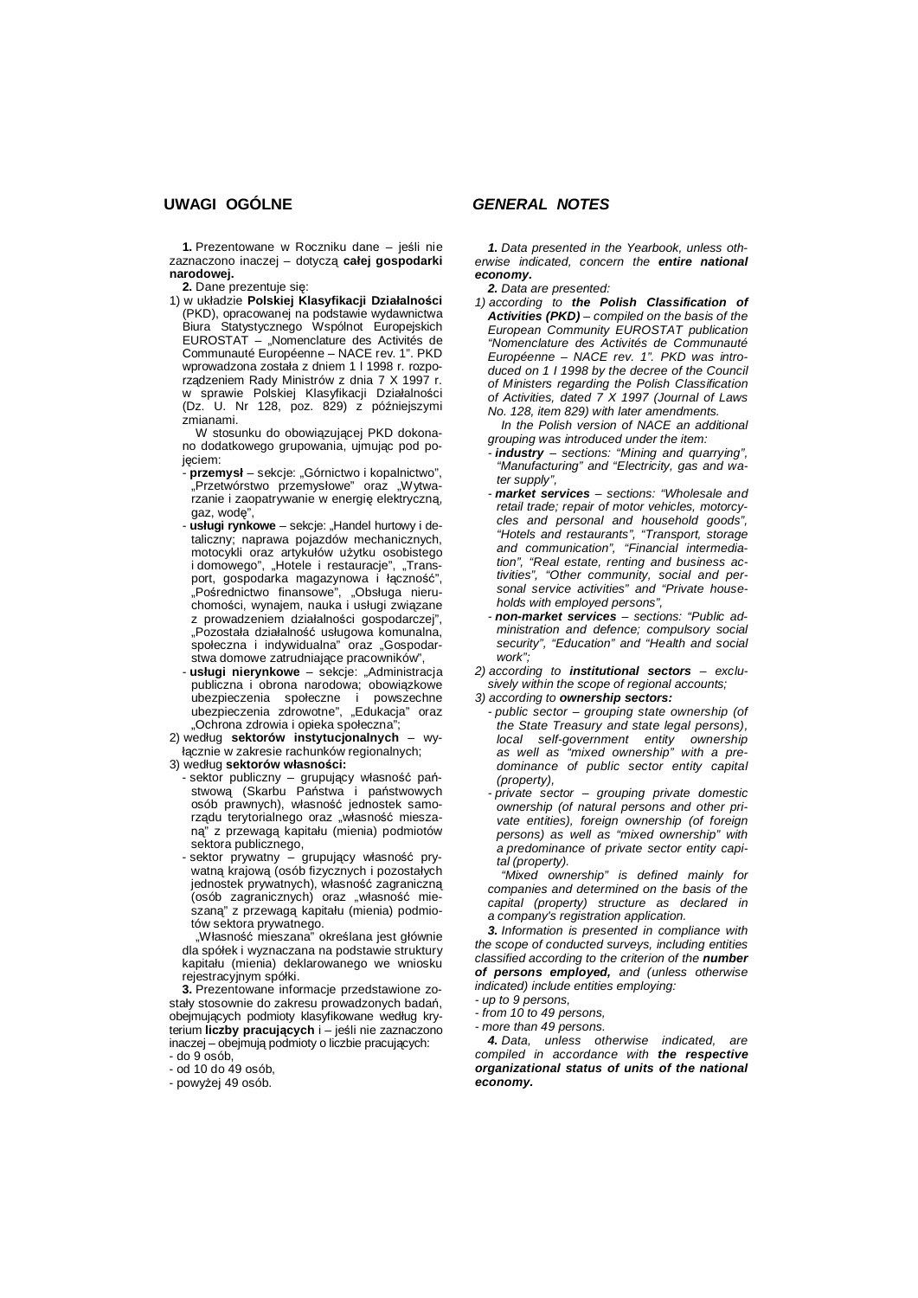**1.** Prezentowane w Roczniku dane – jeĞli nie zaznaczono inaczej – dotyczą **caáej gospodarki narodowej.**

**2.** Dane prezentuje sie:

1) w ukáadzie **Polskiej Klasyfikacji DziaáalnoĞci** (PKD), opracowanej na podstawie wydawnictwa Biura Statystycznego Wspólnot Europejskich EUROSTAT – "Nomenclature des Activités de Communauté Européenne – NACE rev. 1". PKD wprowadzona została z dniem 1 l 1998 r. rozporządzeniem Rady Ministrów z dnia 7 X 1997 r. w sprawie Polskiej Klasyfikacji Działalności  $(Dz. U. Nr 128, poz. 829) z poźniejszymi$ zmianami.

W stosunku do obowiązującej PKD dokonano dodatkowego grupowania, ujmując pod poieciem:

- - **przemysá** sekcje: "Górnictwo i kopalnictwo", "Przetwórstwo przemysłowe" oraz "Wytwarzanie i zaopatrywanie w energię elektryczną, gaz, wode".
- **usáugi rynkowe** sekcje: "Handel hurtowy i detaliczny; naprawa pojazdów mechanicznych, motocykli oraz artykułów użytku osobistego i domowego", "Hotele i restauracje", "Transport, gospodarka magazynowa i łączność", "Pośrednictwo finansowe", "Obsługa nieruchomości, wynajem, nauka i usługi związane z prowadzeniem działalności gospodarczej", "Pozostała działalność usługowa komunalna, społeczna i indywidualna" oraz "Gospodarstwa domowe zatrudniające pracowników",
- **usáugi nierynkowe** sekcje: "Administracja publiczna i obrona narodowa; obowiązkowe ubezpieczenia społeczne i powszechne ubezpieczenia zdrowotne", "Edukacja" oraz "Ochrona zdrowia i opieka społeczna";
- 2) wedáug **sektorów instytucjonalnych** wyłącznie w zakresie rachunków regionalnych;
- 3) wedáug **sektorów wáasnoĞci:**
	- sektor publiczny grupujący własność państwową (Skarbu Państwa i państwowych osób prawnych), wáasnoĞü jednostek samorządu terytorialnego oraz "własność mieszaną" z przewagą kapitału (mienia) podmiotów sektora publicznego,
	- sektor prywatny grupujący własność prywatną krajową (osób fizycznych i pozostałych jednostek prywatnych), wáasnoĞü zagraniczną (osób zagranicznych) oraz "własność mieszaną" z przewagą kapitału (mienia) podmiotów sektora prywatnego.

"Własność mieszana" określana jest głównie dla spóáek i wyznaczana na podstawie struktury kapitału (mienia) deklarowanego we wniosku rejestracyjnym spółki.

**3.** Prezentowane informacje przedstawione zostały stosownie do zakresu prowadzonych badań, obejmujących podmioty klasyfikowane według kryterium **liczby pracujących** i – jeĞli nie zaznaczono inaczej – obejmują podmioty o liczbie pracujących:  $-$  do 9 osób.

- od 10 do 49 osób,

- powyżej 49 osób.

*1. Data presented in the Yearbook, unless otherwise indicated, concern the entire national economy.*

*2. Data are presented:*

*1) according to the Polish Classification of Activities (PKD) – compiled on the basis of the European Community EUROSTAT publication "Nomenclature des Activités de Communauté Européenne – NACE rev. 1". PKD was introduced on 1 I 1998 by the decree of the Council of Ministers regarding the Polish Classification of Activities, dated 7 X 1997 (Journal of Laws No. 128, item 829) with later amendments.*

*In the Polish version of NACE an additional grouping was introduced under the item:*

- *- industry sections: "Mining and quarrying", "Manufacturing" and "Electricity, gas and water supply",*
- *- market services sections: "Wholesale and retail trade; repair of motor vehicles, motorcycles and personal and household goods", "Hotels and restaurants", "Transport, storage and communication", "Financial intermediation", "Real estate, renting and business activities", "Other community, social and personal service activities" and "Private households with employed persons",*
- *- non-market services sections: "Public administration and defence; compulsory social security", "Education" and "Health and social work";*

*2) according to institutional sectors – exclusively within the scope of regional accounts;*

- *3) according to ownership sectors:*
- *public sector grouping state ownership (of the State Treasury and state legal persons), local self-government entity ownership as well as "mixed ownership" with a predominance of public sector entity capital (property),*
- *private sector grouping private domestic ownership (of natural persons and other private entities), foreign ownership (of foreign persons) as well as "mixed ownership" with a predominance of private sector entity capital (property).*

*"Mixed ownership" is defined mainly for companies and determined on the basis of the capital (property) structure as declared in a company's registration application.*

*3. Information is presented in compliance with the scope of conducted surveys, including entities classified according to the criterion of the number of persons employed, and (unless otherwise indicated) include entities employing:*

*- up to 9 persons,*

- *from 10 to 49 persons,*
- *more than 49 persons.*

*4. Data, unless otherwise indicated, are compiled in accordance with the respective organizational status of units of the national economy.*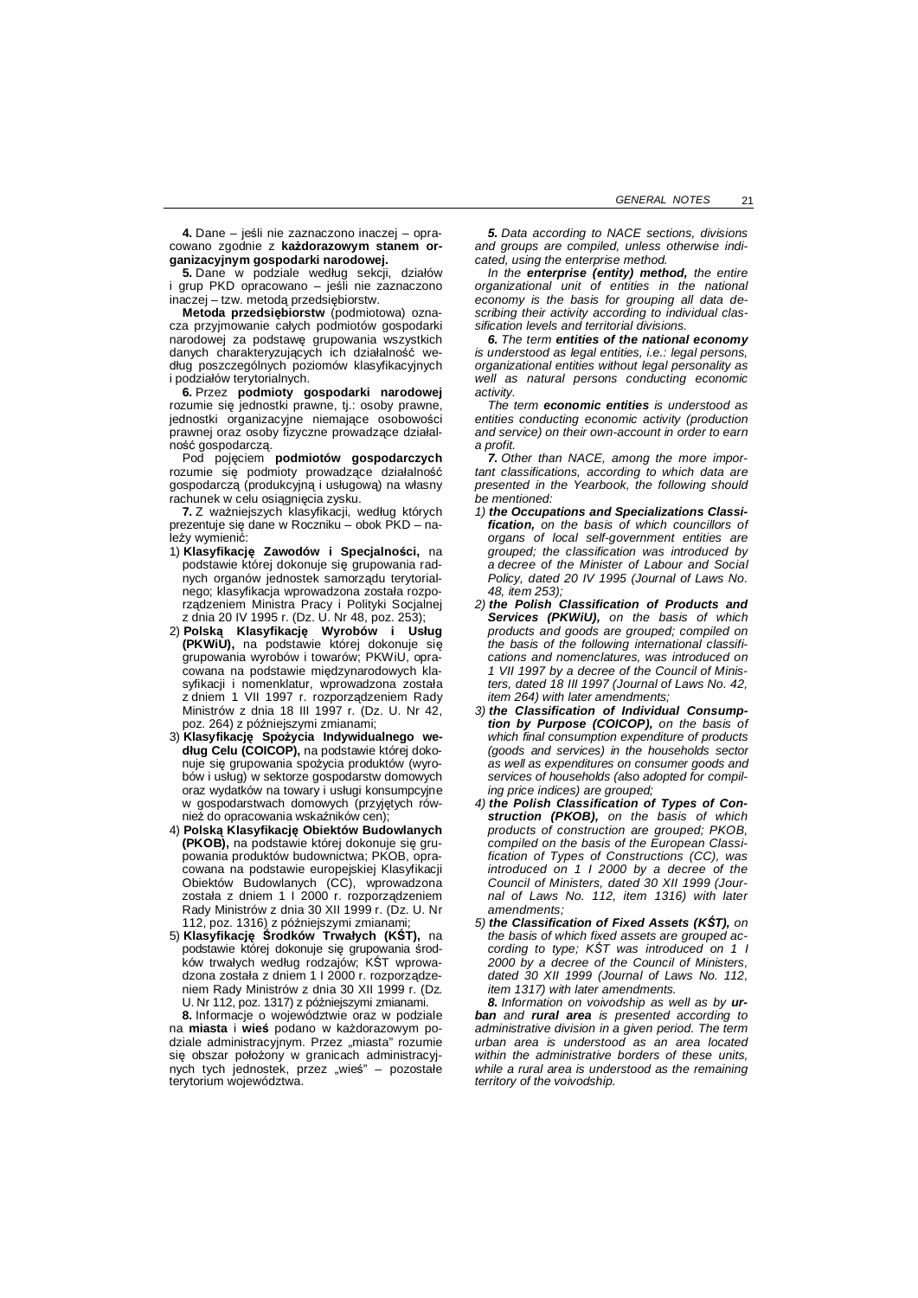**4.** Dane – jeĞli nie zaznaczono inaczej – opracowano zgodnie z każdorazowym stanem or**ganizacyjnym gospodarki narodowej.**

5. Dane w podziale według sekcji, działów i grup PKD opracowano – jeĞli nie zaznaczono inaczej – tzw. metodą przedsiębiorstw.

 $Netoda$  przedsiębiorstw (podmiotowa) oznacza przyjmowanie całych podmiotów gospodarki narodowej za podstawę grupowania wszystkich danych charakteryzujących ich działalność we-Gáug poszczególnych poziomów klasyfikacyjnych i podziałów terytorialnych.

**6.** Przez **podmioty gospodarki narodowej** rozumie się jednostki prawne, tj.: osoby prawne, jednostki organizacyjne niemające osobowości prawnej oraz osoby fizyczne prowadzące dziaáalność gospodarczą.

Pod pojęciem podmiotów gospodarczych rozumie się podmioty prowadzące działalność gospodarczą (produkcyjną i usáugową) na wáasny rachunek w celu osiągnięcia zysku.

**7.** Z ważniejszych klasyfikacji, według których prezentuje się dane w Roczniku – obok PKD – należy wymienić:

- 1) Klasyfikację Zawodów i Specjalności, na podstawie której dokonuje się grupowania radnych organów jednostek samorządu terytorialnego; klasyfikacja wprowadzona została rozporządzeniem Ministra Pracy i Polityki Socjalnej z dnia 20 IV 1995 r. (Dz. U. Nr 48, poz. 253);
- 2) **Polską KlasyfikacjĊ Wyrobów i Usáug (PKWiU)**, na podstawie której dokonuje się grupowania wyrobów i towarów; PKWiU, opracowana na podstawie międzynarodowych klasyfikacji i nomenklatur, wprowadzona została z dniem 1 VII 1997 r. rozporządzeniem Rady Ministrów z dnia 18 III 1997 r. (Dz. U. Nr 42, poz. 264) z późniejszymi zmianami:
- 3) Klasyfikację Spożycia Indywidualnego we-**Gáug Celu (COICOP),** na podstawie której dokonuje się grupowania spożycia produktów (wyrobów i usług) w sektorze gospodarstw domowych oraz wydatków na towary i usługi konsumpcyjne w gospodarstwach domowych (przyjętych również do opracowania wskaźników cen);
- 4) **Polską KlasyfikacjĊ Obiektów Budowlanych (PKOB)**, na podstawie której dokonuje się grupowania produktów budownictwa; PKOB, opracowana na podstawie europejskiej Klasyfikacji Obiektów Budowlanych (CC), wprowadzona została z dniem 1 I 2000 r. rozporządzeniem Rady Ministrów z dnia 30 XII 1999 r. (Dz. U. Nr 112, poz. 1316) z późniejszymi zmianami
- 5) **KlasyfikacjĊ ĝrodków Trwaáych (KĝT),** na podstawie której dokonuje się grupowania środków trwałych według rodzajów; KŚT wprowadzona została z dniem 1 l 2000 r. rozporządzeniem Rady Ministrów z dnia 30 XII 1999 r. (Dz. U. Nr 112, poz. 1317) z późniejszymi zmianami.

**8.** Informacje o województwie oraz w podziale na miasta i wieś podano w każdorazowym podziale administracyjnym. Przez "miasta" rozumie się obszar położony w granicach administracyjnych tych jednostek, przez "wieś" – pozostałe terytorium województwa.

*5. Data according to NACE sections, divisions and groups are compiled, unless otherwise indicated, using the enterprise method.*

*In the enterprise (entity) method, the entire organizational unit of entities in the national economy is the basis for grouping all data describing their activity according to individual classification levels and territorial divisions.*

*6. The term entities of the national economy is understood as legal entities, i.e.: legal persons, organizational entities without legal personality as well as natural persons conducting economic activity.*

*The term economic entities is understood as entities conducting economic activity (production and service) on their own-account in order to earn a profit.*

*7. Other than NACE, among the more important classifications, according to which data are presented in the Yearbook, the following should be mentioned:*

- *1) the Occupations and Specializations Classification, on the basis of which councillors of organs of local self-government entities are grouped; the classification was introduced by a decree of the Minister of Labour and Social Policy, dated 20 IV 1995 (Journal of Laws No. 48, item 253);*
- *2) the Polish Classification of Products and Services (PKWiU), on the basis of which products and goods are grouped; compiled on the basis of the following international classifications and nomenclatures, was introduced on 1 VII 1997 by a decree of the Council of Ministers, dated 18 III 1997 (Journal of Laws No. 42, item 264) with later amendments;*
- *3) the Classification of Individual Consumption by Purpose (COICOP), on the basis of which final consumption expenditure of products (goods and services) in the households sector as well as expenditures on consumer goods and services of households (also adopted for compiling price indices) are grouped;*
- *4) the Polish Classification of Types of Construction (PKOB), on the basis of which products of construction are grouped; PKOB, compiled on the basis of the European Classification of Types of Constructions (CC), was introduced on 1 I 2000 by a decree of the Council of Ministers, dated 30 XII 1999 (Journal of Laws No. 112, item 1316) with later amendments;*
- *5) the Classification of Fixed Assets (KĝT), on the basis of which fixed assets are grouped according to type; KĝT was introduced on 1 I 2000 by a decree of the Council of Ministers, dated 30 XII 1999 (Journal of Laws No. 112, item 1317) with later amendments.*

*8. Information on voivodship as well as by urban and rural area is presented according to administrative division in a given period. The term urban area is understood as an area located within the administrative borders of these units, while a rural area is understood as the remaining territory of the voivodship.*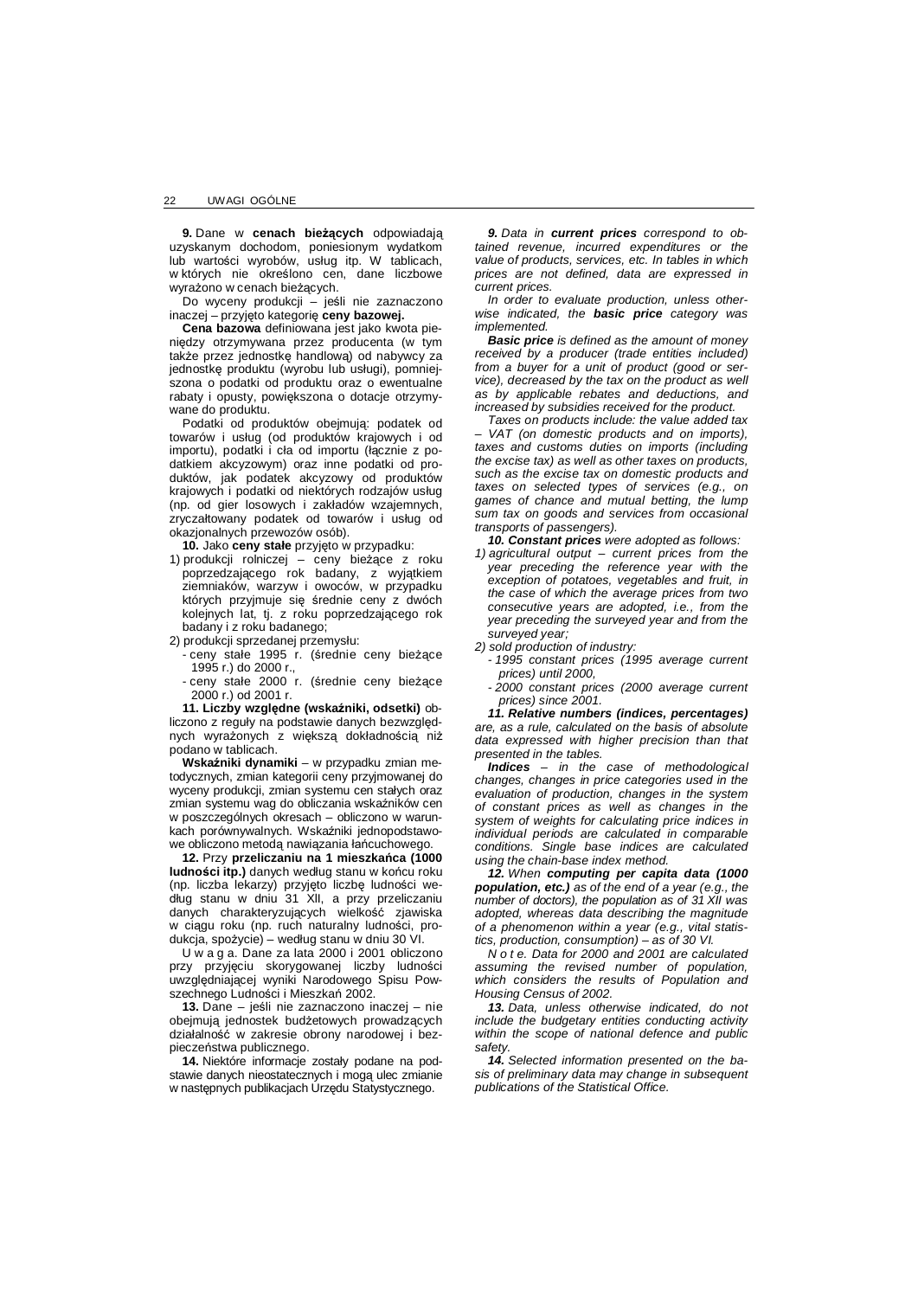**9.** Dane w **cenach bieĪących** odpowiadają uzyskanym dochodom, poniesionym wydatkom lub wartości wyrobów, usług itp. W tablicach, w których nie okreĞlono cen, dane liczbowe wyrażono w cenach bieżących.

Do wyceny produkcji – jeĞli nie zaznaczono inaczej – przyjęto kategorię ceny bazowej.

**Cena bazowa** definiowana jest jako kwota pieniędzy otrzymywana przez producenta (w tym także przez jednostkę handlową) od nabywcy za jednostke produktu (wyrobu lub usługi), pomniejszona o podatki od produktu oraz o ewentualne rabaty i opusty, powiększona o dotacje otrzymywane do produktu.

Podatki od produktów obejmują: podatek od towarów i usług (od produktów krajowych i od importu), podatki i cła od importu (łacznie z podatkiem akcyzowym) oraz inne podatki od produktów, jak podatek akcyzowy od produktów krajowych i podatki od niektórych rodzajów usług (np. od gier losowych i zakáadów wzajemnych, zryczałtowany podatek od towarów i usług od okazjonalnych przewozów osób).

10. Jako ceny stałe przyjęto w przypadku:

- 1) produkcji rolniczej ceny bieżące z roku poprzedzającego rok badany, z wyjątkiem ziemniaków, warzyw i owoców, w przypadku których przyjmuje się średnie ceny z dwóch kolejnych lat, tj. z roku poprzedzającego rok badany i z roku badanego;
- 2) produkcji sprzedanej przemysłu:
	- ceny stałe 1995 r. (średnie ceny bieżące 1995 r.) do 2000 r.,
	- ceny stałe 2000 r. (średnie ceny bieżące 2000 r.) od 2001 r.

**11. Liczby względne (wskaźniki, odsetki)** obliczono z reguły na podstawie danych bezwzględnych wyrazonych z wieksza dokładnościa niż podano w tablicach.

**WskaĨniki dynamiki** – w przypadku zmian metodycznych, zmian kategorii ceny przyjmowanej do wyceny produkcji, zmian systemu cen stałych oraz zmian systemu wag do obliczania wskaźników cen w poszczególnych okresach – obliczono w warunkach porównywalnych. Wskaźniki jednopodstawowe obliczono metodą nawiązania łańcuchowego.

**12.** Przy **przeliczaniu na 1 mieszkaĔca (1000 ludności itp.)** danych według stanu w końcu roku (np. liczba lekarzy) przyjęto liczbę ludności według stanu w dniu 31 XII, a przy przeliczaniu danych charakteryzujących wielkość zjawiska w ciągu roku (np. ruch naturalny ludności, produkcia, spożycie) – według stanu w dniu 30 VI.

U w a g a. Dane za lata 2000 i 2001 obliczono przy przyjęciu skorygowanej liczby ludności uwzględniającej wyniki Narodowego Spisu Powszechnego Ludności i Mieszkań 2002.

**13.** Dane – jeĞli nie zaznaczono inaczej – nie obejmują jednostek budżetowych prowadzących działalność w zakresie obrony narodowej i bezpieczeństwa publicznego.

14. Niektóre informacje zostały podane na podstawie danych nieostatecznych i mogą ulec zmianie w następnych publikacjach Urzędu Statystycznego.

*9. Data in current prices correspond to obtained revenue, incurred expenditures or the value of products, services, etc. In tables in which prices are not defined, data are expressed in current prices.*

*In order to evaluate production, unless otherwise indicated, the basic price category was implemented.*

*Basic price is defined as the amount of money received by a producer (trade entities included) from a buyer for a unit of product (good or service), decreased by the tax on the product as well as by applicable rebates and deductions, and increased by subsidies received for the product.*

*Taxes on products include: the value added tax – VAT (on domestic products and on imports), taxes and customs duties on imports (including the excise tax) as well as other taxes on products, such as the excise tax on domestic products and taxes on selected types of services (e.g., on games of chance and mutual betting, the lump sum tax on goods and services from occasional transports of passengers).*

*10. Constant prices were adopted as follows: 1) agricultural output – current prices from the year preceding the reference year with the exception of potatoes, vegetables and fruit, in the case of which the average prices from two consecutive years are adopted, i.e., from the year preceding the surveyed year and from the surveyed year;*

*2) sold production of industry:*

*- 1995 constant prices (1995 average current prices) until 2000,*

*- 2000 constant prices (2000 average current prices) since 2001.*

*11. Relative numbers (indices, percentages) are, as a rule, calculated on the basis of absolute data expressed with higher precision than that presented in the tables.*

*Indices – in the case of methodological changes, changes in price categories used in the evaluation of production, changes in the system of constant prices as well as changes in the system of weights for calculating price indices in individual periods are calculated in comparable conditions. Single base indices are calculated using the chain-base index method.*

*12. When computing per capita data (1000 population, etc.) as of the end of a year (e.g., the number of doctors), the population as of 31 XII was adopted, whereas data describing the magnitude of a phenomenon within a year (e.g., vital statistics, production, consumption) – as of 30 VI.*

*N o t e. Data for 2000 and 2001 are calculated assuming the revised number of population, which considers the results of Population and Housing Census of 2002.*

*13. Data, unless otherwise indicated, do not include the budgetary entities conducting activity within the scope of national defence and public safety.*

*14. Selected information presented on the basis of preliminary data may change in subsequent publications of the Statistical Office.*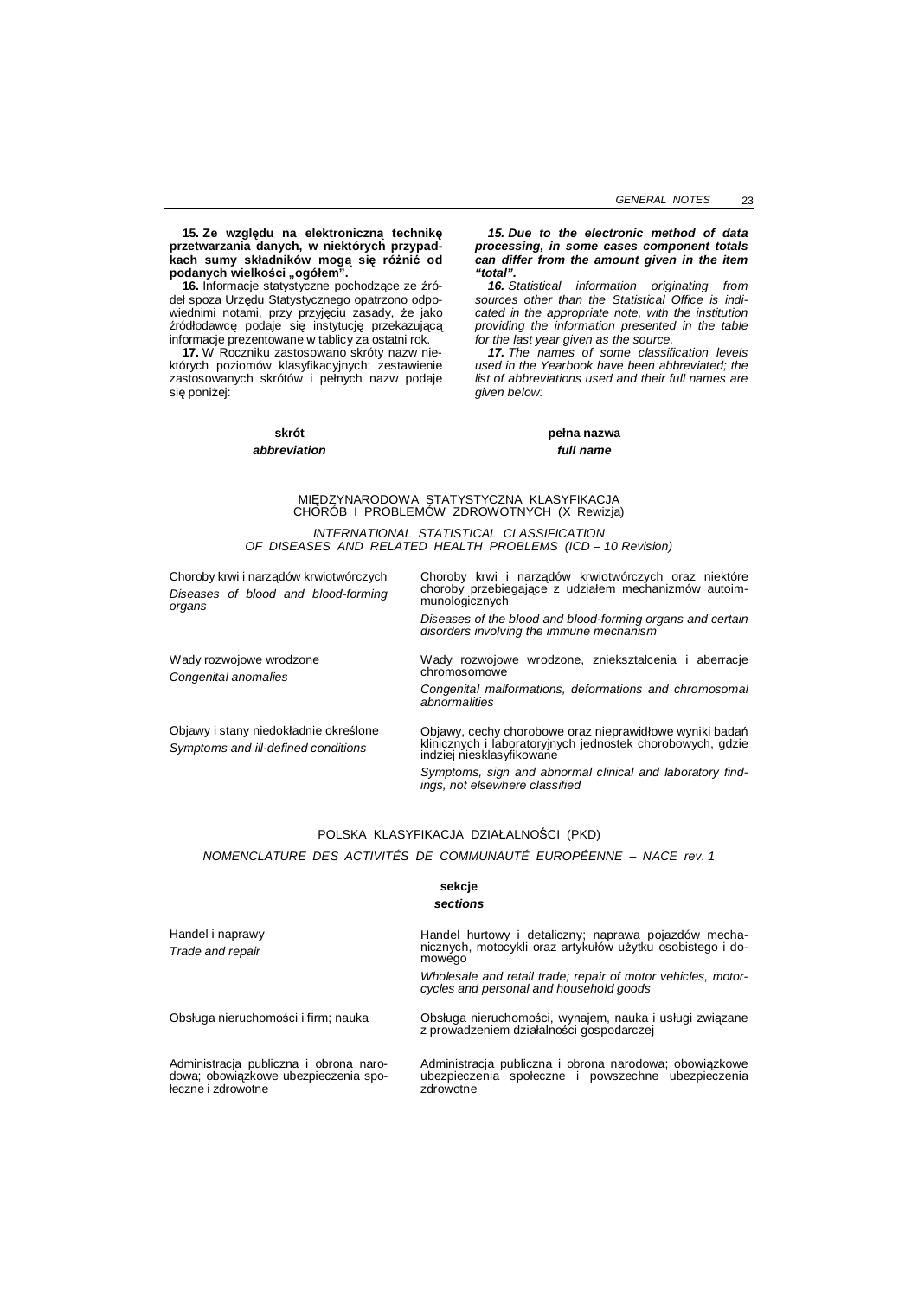15. Ze względu na elektroniczną technikę **przetwarzania danych, w niektórych przypadkach sumy skáadników mogą siĊ róĪniü od podanych wielkoĞci "ogóáem".**

**16.** Informacie statystyczne pochodzące ze źródel spoza Urzędu Statystycznego opatrzono odpowiednimi notami, przy przyjęciu zasady, że jako źródłodawcę podaje się instytucję przekazującą informacje prezentowane w tablicy za ostatni rok.

**17.** W Roczniku zastosowano skróty nazw niektórych poziomów klasyfikacyjnych; zestawienie zastosowanych skrótów i pełnych nazw podaje się poniżej:

## **skrót** *abbreviation*

#### *15. Due to the electronic method of data processing, in some cases component totals can differ from the amount given in the item "total".*

*16. Statistical information originating from sources other than the Statistical Office is indicated in the appropriate note, with the institution providing the information presented in the table for the last year given as the source.*

*17. The names of some classification levels used in the Yearbook have been abbreviated; the list of abbreviations used and their full names are given below:*

> **peána nazwa** *full name*

# MIĉDZYNARODOWA STATYSTYCZNA KLASYFIKACJA CHORÓB I PROBLEMÓW ZDROWOTNYCH (X Rewizja) *INTERNATIONAL STATISTICAL CLASSIFICATION*

*OF DISEASES AND RELATED HEALTH PROBLEMS (ICD – 10 Revision)*

| Choroby krwi i narządów krwiotwórczych          | Choroby krwi i narządów krwiotwórczych oraz niektóre                                                   |
|-------------------------------------------------|--------------------------------------------------------------------------------------------------------|
| Diseases of blood and blood-forming<br>organs   | choroby przebiegające z udziałem mechanizmów autoim-<br>munologicznych                                 |
|                                                 | Diseases of the blood and blood-forming organs and certain<br>disorders involving the immune mechanism |
| Wady rozwojowe wrodzone<br>Congenital anomalies | Wady rozwojowe wrodzone, zniekształcenia i aberracje<br>chromosomowe                                   |
|                                                 | Congenital malformations, deformations and chromosomal<br>abnormalities                                |
| Objawy i stany niedokładnie określone           | Objawy, cechy chorobowe oraz nieprawidłowe wyniki badań                                                |
| Symptoms and ill-defined conditions             | klinicznych i laboratoryjnych jednostek chorobowych, gdzie<br>indziej niesklasyfikowane                |
|                                                 | Symptoms, sign and abnormal clinical and laboratory find-<br>ings, not elsewhere classified            |

## POLSKA KLASYFIKACJA DZIAŁALNOŚCI (PKD) *NOMENCLATURE DES ACTIVITÉS DE COMMUNAUTÉ EUROPÉENNE – NACE rev. 1*

## **sekcje** *sections*

| Handel i naprawy<br>Trade and repair                                                                 | Handel hurtowy i detaliczny; naprawa pojazdów mecha-<br>nicznych, motocykli oraz artykułów użytku osobistego i do-<br>mowego |
|------------------------------------------------------------------------------------------------------|------------------------------------------------------------------------------------------------------------------------------|
|                                                                                                      | Wholesale and retail trade; repair of motor vehicles, motor-<br>cycles and personal and household goods                      |
| Obsługa nieruchomości i firm; nauka                                                                  | Obsługa nieruchomości, wynajem, nauka i usługi związane<br>z prowadzeniem działalności gospodarczej                          |
| Administracja publiczna i obrona naro-<br>dowa; obowiązkowe ubezpieczenia spo-<br>łeczne i zdrowotne | Administracja publiczna i obrona narodowa; obowiązkowe<br>ubezpieczenia społeczne i powszechne ubezpieczenia<br>zdrowotne    |